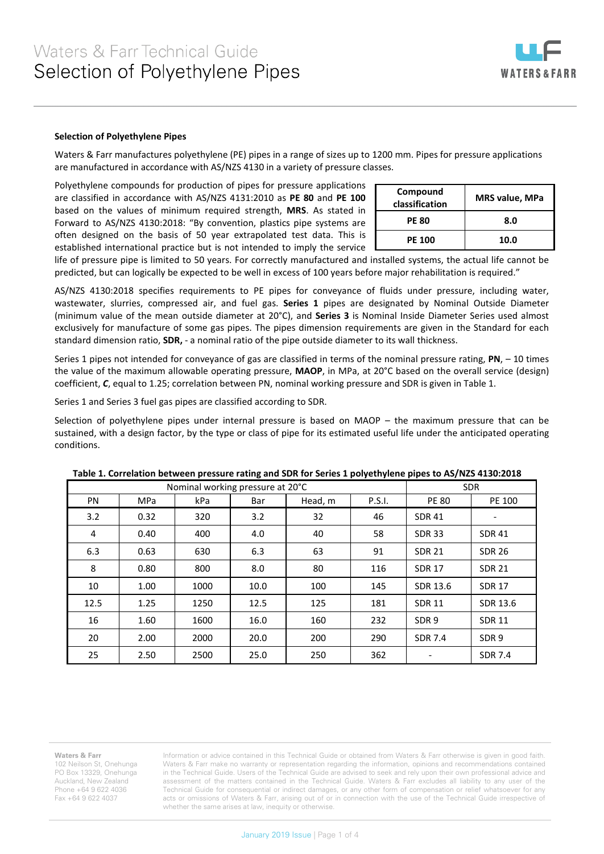

## **Selection of Polyethylene Pipes**

Waters & Farr manufactures polyethylene (PE) pipes in a range of sizes up to 1200 mm. Pipes for pressure applications are manufactured in accordance with AS/NZS 4130 in a variety of pressure classes.

Polyethylene compounds for production of pipes for pressure applications are classified in accordance with AS/NZS 4131:2010 as **PE 80** and **PE 100** based on the values of minimum required strength, **MRS**. As stated in Forward to AS/NZS 4130:2018: "By convention, plastics pipe systems are often designed on the basis of 50 year extrapolated test data. This is established international practice but is not intended to imply the service

| Compound<br>classification | <b>MRS value, MPa</b> |
|----------------------------|-----------------------|
| <b>PE 80</b>               | 8.0                   |
| <b>PE 100</b>              | 10.0                  |

life of pressure pipe is limited to 50 years. For correctly manufactured and installed systems, the actual life cannot be predicted, but can logically be expected to be well in excess of 100 years before major rehabilitation is required."

AS/NZS 4130:2018 specifies requirements to PE pipes for conveyance of fluids under pressure, including water, wastewater, slurries, compressed air, and fuel gas. **Series 1** pipes are designated by Nominal Outside Diameter (minimum value of the mean outside diameter at 20°C), and **Series 3** is Nominal Inside Diameter Series used almost exclusively for manufacture of some gas pipes. The pipes dimension requirements are given in the Standard for each standard dimension ratio, **SDR,** - a nominal ratio of the pipe outside diameter to its wall thickness.

Series 1 pipes not intended for conveyance of gas are classified in terms of the nominal pressure rating, **PN**, – 10 times the value of the maximum allowable operating pressure, **MAOP**, in MPa, at 20°C based on the overall service (design) coefficient, *C*, equal to 1.25; correlation between PN, nominal working pressure and SDR is given in Table 1.

Series 1 and Series 3 fuel gas pipes are classified according to SDR.

Selection of polyethylene pipes under internal pressure is based on MAOP – the maximum pressure that can be sustained, with a design factor, by the type or class of pipe for its estimated useful life under the anticipated operating conditions.

| Nominal working pressure at 20°C |            |      |      |                   |     | <b>SDR</b>       |                  |
|----------------------------------|------------|------|------|-------------------|-----|------------------|------------------|
| <b>PN</b>                        | <b>MPa</b> | kPa  | Bar  | P.S.I.<br>Head, m |     | <b>PE 80</b>     | PE 100           |
| 3.2                              | 0.32       | 320  | 3.2  | 32                | 46  | <b>SDR 41</b>    |                  |
| 4                                | 0.40       | 400  | 4.0  | 40                | 58  | <b>SDR 33</b>    | <b>SDR 41</b>    |
| 6.3                              | 0.63       | 630  | 6.3  | 63                | 91  | <b>SDR 21</b>    | <b>SDR 26</b>    |
| 8                                | 0.80       | 800  | 8.0  | 80                | 116 | <b>SDR 17</b>    | <b>SDR 21</b>    |
| 10                               | 1.00       | 1000 | 10.0 | 100               | 145 | SDR 13.6         | <b>SDR 17</b>    |
| 12.5                             | 1.25       | 1250 | 12.5 | 125               | 181 | <b>SDR 11</b>    | SDR 13.6         |
| 16                               | 1.60       | 1600 | 16.0 | 160               | 232 | SDR <sub>9</sub> | <b>SDR 11</b>    |
| 20                               | 2.00       | 2000 | 20.0 | 200               | 290 | <b>SDR 7.4</b>   | SDR <sub>9</sub> |
| 25                               | 2.50       | 2500 | 25.0 | 250               | 362 |                  | <b>SDR 7.4</b>   |

| Table 1. Correlation between pressure rating and SDR for Series 1 polyethylene pipes to AS/NZS 4130:2018 |  |  |  |
|----------------------------------------------------------------------------------------------------------|--|--|--|
|----------------------------------------------------------------------------------------------------------|--|--|--|

## **Waters & Farr**

102 Neilson St, Onehunga PO Box 13329, Onehunga Auckland, New Zealand Phone +64 9 622 4036 Fax +64 9 622 4037

Information or advice contained in this Technical Guide or obtained from Waters & Farr otherwise is given in good faith. Waters & Farr make no warranty or representation regarding the information, opinions and recommendations contained in the Technical Guide. Users of the Technical Guide are advised to seek and rely upon their own professional advice and assessment of the matters contained in the Technical Guide. Waters & Farr excludes all liability to any user of the Technical Guide for consequential or indirect damages, or any other form of compensation or relief whatsoever for any acts or omissions of Waters & Farr, arising out of or in connection with the use of the Technical Guide irrespective of whether the same arises at law, inequity or otherwise.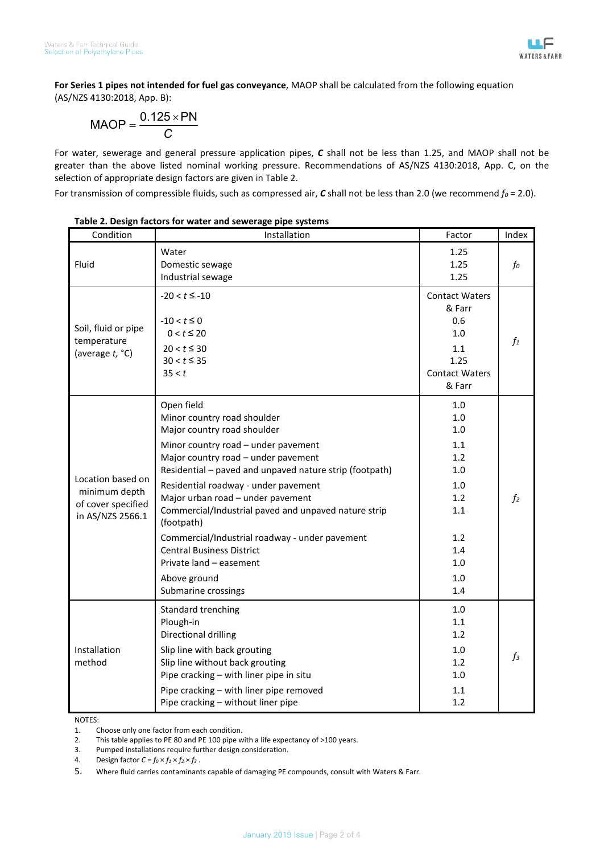**For Series 1 pipes not intended for fuel gas conveyance**, MAOP shall be calculated from the following equation (AS/NZS 4130:2018, App. B):

$$
MAOP = \frac{0.125 \times PN}{C}
$$

For water, sewerage and general pressure application pipes, *C* shall not be less than 1.25, and MAOP shall not be greater than the above listed nominal working pressure. Recommendations of AS/NZS 4130:2018, App. C, on the selection of appropriate design factors are given in Table 2.

For transmission of compressible fluids, such as compressed air,  $C$  shall not be less than 2.0 (we recommend  $f_0$  = 2.0).

| Condition                                                                    | Installation                                                                                                                                                                                                                                                                                                                                                                                                                                                                                                                 | Factor                                                                                          | Index          |
|------------------------------------------------------------------------------|------------------------------------------------------------------------------------------------------------------------------------------------------------------------------------------------------------------------------------------------------------------------------------------------------------------------------------------------------------------------------------------------------------------------------------------------------------------------------------------------------------------------------|-------------------------------------------------------------------------------------------------|----------------|
| Fluid                                                                        | Water<br>Domestic sewage<br>Industrial sewage                                                                                                                                                                                                                                                                                                                                                                                                                                                                                | 1.25<br>1.25<br>1.25                                                                            | fo             |
| Soil, fluid or pipe<br>temperature<br>(average t, °C)                        | $-20 < t \le -10$<br>$-10 < t \leq 0$<br>$0 < t \le 20$<br>$20 < t \leq 30$<br>$30 < t \leq 35$<br>35 < t                                                                                                                                                                                                                                                                                                                                                                                                                    | <b>Contact Waters</b><br>& Farr<br>0.6<br>1.0<br>1.1<br>1.25<br><b>Contact Waters</b><br>& Farr | $f_1$          |
| Location based on<br>minimum depth<br>of cover specified<br>in AS/NZS 2566.1 | Open field<br>Minor country road shoulder<br>Major country road shoulder<br>Minor country road - under pavement<br>Major country road - under pavement<br>Residential - paved and unpaved nature strip (footpath)<br>Residential roadway - under pavement<br>Major urban road - under pavement<br>Commercial/Industrial paved and unpaved nature strip<br>(footpath)<br>Commercial/Industrial roadway - under pavement<br><b>Central Business District</b><br>Private land - easement<br>Above ground<br>Submarine crossings | 1.0<br>1.0<br>1.0<br>1.1<br>1.2<br>1.0<br>1.0<br>1.2<br>1.1<br>1.2<br>1.4<br>1.0<br>1.0<br>1.4  | f <sub>2</sub> |
| Installation<br>method                                                       | Standard trenching<br>Plough-in<br>Directional drilling<br>Slip line with back grouting<br>Slip line without back grouting<br>Pipe cracking - with liner pipe in situ<br>Pipe cracking - with liner pipe removed<br>Pipe cracking - without liner pipe                                                                                                                                                                                                                                                                       | 1.0<br>1.1<br>1.2<br>1.0<br>1.2<br>1.0<br>1.1<br>1.2                                            | $f_3$          |

## **Table 2. Design factors for water and sewerage pipe systems**

NOTES:

1. Choose only one factor from each condition.<br>2. This table applies to PE 80 and PE 100 pipe w

This table applies to PE 80 and PE 100 pipe with a life expectancy of >100 years.

3. Pumped installations require further design consideration.

4. Design factor  $C = f_0 \times f_1 \times f_2 \times f_3$ .

5. Where fluid carries contaminants capable of damaging PE compounds, consult with Waters & Farr.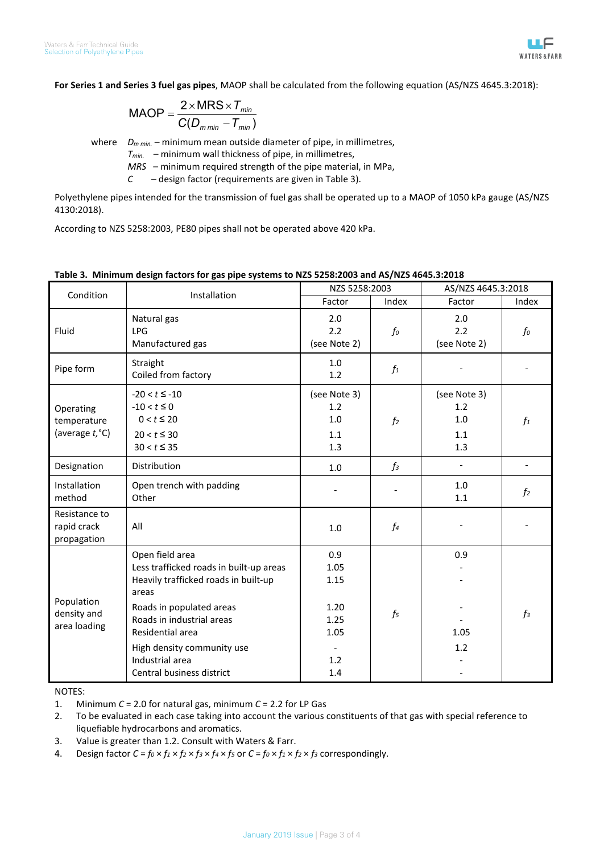

**For Series 1 and Series 3 fuel gas pipes**, MAOP shall be calculated from the following equation (AS/NZS 4645.3:2018):

$$
MAOP = \frac{2 \times MRS \times T_{min}}{C(D_{min} - T_{min})}
$$

where *D<sub>m min.</sub>* – minimum mean outside diameter of pipe, in millimetres,

*Tmin.* – minimum wall thickness of pipe, in millimetres,

*MRS* – minimum required strength of the pipe material, in MPa,

*C* – design factor (requirements are given in Table 3).

Polyethylene pipes intended for the transmission of fuel gas shall be operated up to a MAOP of 1050 kPa gauge (AS/NZS 4130:2018).

According to NZS 5258:2003, PE80 pipes shall not be operated above 420 kPa.

## **Table 3. Minimum design factors for gas pipe systems to NZS 5258:2003 and AS/NZS 4645.3:2018**

| Condition                                   | Installation                                                                                                                                                                                                                                                           | NZS 5258:2003                                                                         |                | AS/NZS 4645.3:2018                       |                |  |
|---------------------------------------------|------------------------------------------------------------------------------------------------------------------------------------------------------------------------------------------------------------------------------------------------------------------------|---------------------------------------------------------------------------------------|----------------|------------------------------------------|----------------|--|
|                                             |                                                                                                                                                                                                                                                                        | Factor                                                                                | Index          | Factor                                   | Index          |  |
| Fluid                                       | Natural gas<br><b>LPG</b><br>Manufactured gas                                                                                                                                                                                                                          | 2.0<br>2.2<br>(see Note 2)                                                            | $f_{0}$        | 2.0<br>2.2<br>(see Note 2)               | fo             |  |
| Pipe form                                   | Straight<br>Coiled from factory                                                                                                                                                                                                                                        | 1.0<br>1.2                                                                            | $f_1$          |                                          |                |  |
| Operating<br>temperature<br>(average t, °C) | $-20 < t \le -10$<br>$-10 < t \le 0$<br>$0 < t \leq 20$<br>$20 < t \leq 30$<br>$30 < t \leq 35$                                                                                                                                                                        | (see Note 3)<br>1.2<br>1.0<br>1.1<br>1.3                                              | f <sub>2</sub> | (see Note 3)<br>1.2<br>1.0<br>1.1<br>1.3 | $f_1$          |  |
| Designation                                 | <b>Distribution</b>                                                                                                                                                                                                                                                    | 1.0                                                                                   | $f_3$          |                                          |                |  |
| Installation<br>method                      | Open trench with padding<br>Other                                                                                                                                                                                                                                      |                                                                                       |                | $1.0\,$<br>1.1                           | f <sub>2</sub> |  |
| Resistance to<br>rapid crack<br>propagation | All                                                                                                                                                                                                                                                                    | 1.0                                                                                   | $f_4$          |                                          |                |  |
| Population<br>density and<br>area loading   | Open field area<br>Less trafficked roads in built-up areas<br>Heavily trafficked roads in built-up<br>areas<br>Roads in populated areas<br>Roads in industrial areas<br>Residential area<br>High density community use<br>Industrial area<br>Central business district | 0.9<br>1.05<br>1.15<br>1.20<br>1.25<br>1.05<br>$\overline{\phantom{a}}$<br>1.2<br>1.4 | $f_5$          | 0.9<br>1.05<br>1.2                       | $f_3$          |  |

NOTES:

1. Minimum *C* = 2.0 for natural gas, minimum *C* = 2.2 for LP Gas

2. To be evaluated in each case taking into account the various constituents of that gas with special reference to liquefiable hydrocarbons and aromatics.

3. Value is greater than 1.2. Consult with Waters & Farr.

4. Design factor  $C = f_0 \times f_1 \times f_2 \times f_3 \times f_4 \times f_5$  or  $C = f_0 \times f_1 \times f_2 \times f_3$  correspondingly.